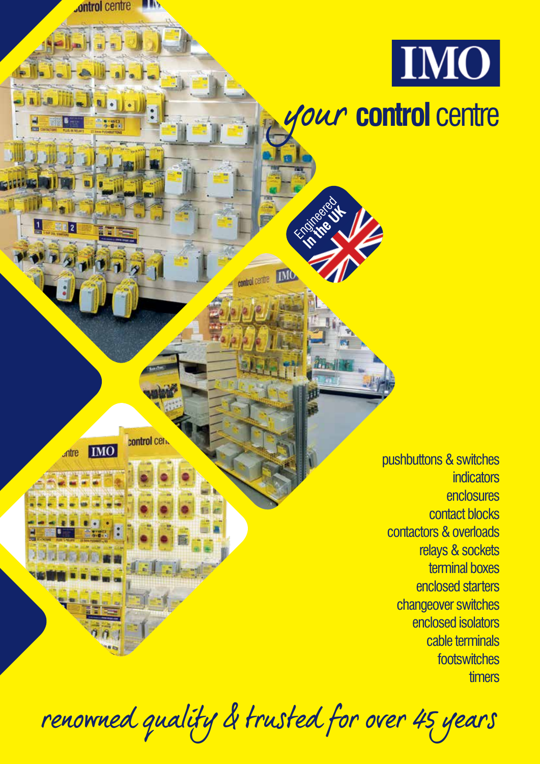

renowned quality & trusted for over 45 years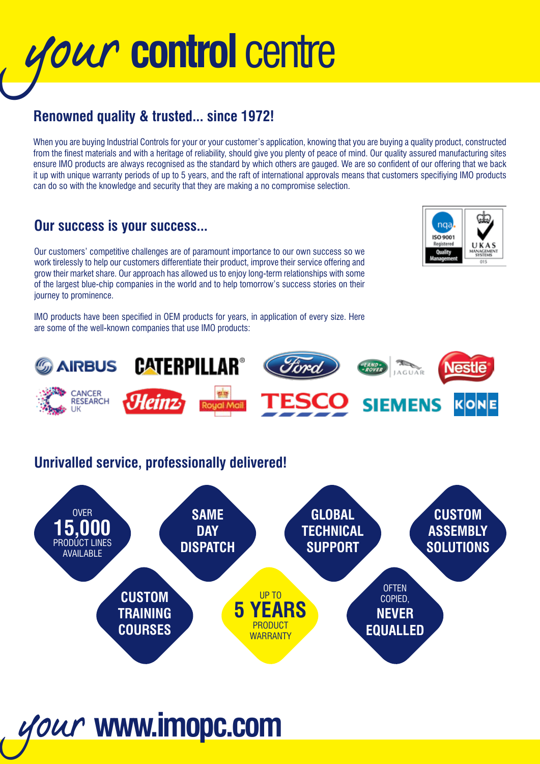# your **control** centre

# **Renowned quality & trusted... since 1972!**

When you are buying Industrial Controls for your or your customer's application, knowing that you are buying a quality product, constructed from the finest materials and with a heritage of reliability, should give you plenty of peace of mind. Our quality assured manufacturing sites ensure IMO products are always recognised as the standard by which others are gauged. We are so confident of our offering that we back it up with unique warranty periods of up to 5 years, and the raft of international approvals means that customers specifiying IMO products can do so with the knowledge and security that they are making a no compromise selection.

# **Our success is your success...**

Our customers' competitive challenges are of paramount importance to our own success so we work tirelessly to help our customers differentiate their product, improve their service offering and grow their market share. Our approach has allowed us to enjoy long-term relationships with some of the largest blue-chip companies in the world and to help tomorrow's success stories on their journey to prominence.

IMO products have been specified in OEM products for years, in application of every size. Here are some of the well-known companies that use IMO products:





# **Unrivalled service, professionally delivered!**

your **www.imopc.com**

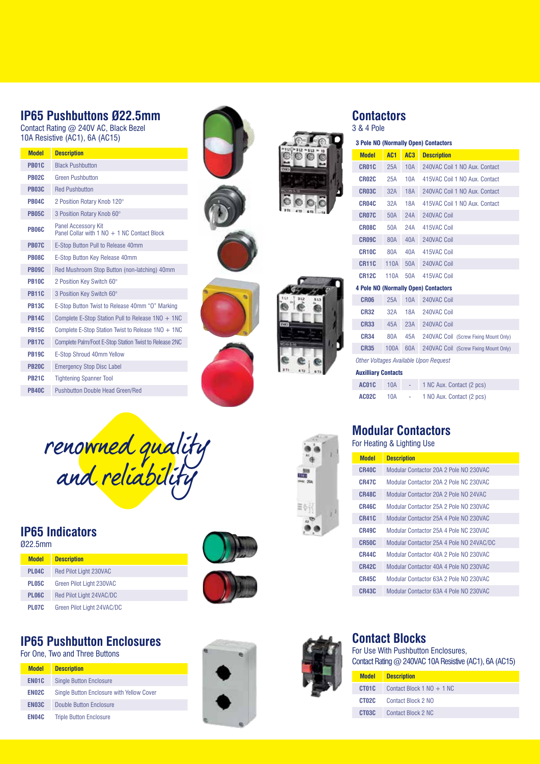### **IP65 Pushbuttons Ø22.5mm**

Contact Rating @ 240V AC, Black Bezel 10A Resistive (AC1), 6A (AC15)

| <b>Model</b> | <b>Description</b>                                                        |
|--------------|---------------------------------------------------------------------------|
| <b>PB01C</b> | <b>Black Pushbutton</b>                                                   |
| <b>PR02C</b> | <b>Green Pushbutton</b>                                                   |
| <b>PR03C</b> | <b>Red Pushbutton</b>                                                     |
| <b>PR04C</b> | 2 Position Rotary Knob 120°                                               |
| <b>PR05C</b> | 3 Position Rotary Knob 60°                                                |
| <b>PR06C</b> | <b>Panel Accessory Kit</b><br>Panel Collar with 1 NO + 1 NC Contact Block |
| <b>PR07C</b> | E-Stop Button Pull to Release 40mm                                        |
| <b>PR08C</b> | E-Stop Button Key Release 40mm                                            |
| <b>PR09C</b> | Red Mushroom Stop Button (non-latching) 40mm                              |
| <b>PR10C</b> | 2 Position Key Switch 60°                                                 |
| <b>PR11C</b> | 3 Position Key Switch 60°                                                 |
| <b>PR13C</b> | E-Stop Button Twist to Release 40mm "O" Marking                           |
| <b>PR14C</b> | Complete E-Stop Station Pull to Release $1NO + 1NC$                       |
| <b>PR15C</b> | Complete E-Stop Station Twist to Release $1NO + 1NC$                      |
| <b>PR17C</b> | Complete Palm/Foot E-Stop Station Twist to Release 2NC                    |
| <b>PR19C</b> | E-Stop Shroud 40mm Yellow                                                 |
| <b>PB20C</b> | <b>Emergency Stop Disc Label</b>                                          |
| <b>PB21C</b> | <b>Tightening Spanner Tool</b>                                            |
| <b>PR40C</b> | <b>Pushbutton Double Head Green/Red</b>                                   |
|              |                                                                           |





# **Contactors**

3 & 4 Pole

| 3 Pole NO (Normally Open) Contactors |                 |            |                                              |  |  |  |
|--------------------------------------|-----------------|------------|----------------------------------------------|--|--|--|
| <b>Model</b>                         | AC <sub>1</sub> | AC3        | <b>Description</b>                           |  |  |  |
| CR01C                                | 25A             | 10A        | 240VAC Coil 1 NO Aux. Contact                |  |  |  |
| CR02C                                | 25A             | 10A        | 415VAC Coil 1 NO Aux. Contact                |  |  |  |
| CR03C                                | 32A             | 18A        | 240VAC Coil 1 NO Aux. Contact                |  |  |  |
| CR04C                                | 32A             | <b>18A</b> | 415VAC Coil 1 NO Aux. Contact                |  |  |  |
| CR07C                                | 50A             | 24A        | 240VAC Coil                                  |  |  |  |
| CR08C                                | 50A             | 24A        | 415VAC Coil                                  |  |  |  |
| CR09C                                | 80A             | 40A        | 240VAC Coil                                  |  |  |  |
| CR <sub>10</sub> C                   | 80A             | 40A        | 415VAC Coil                                  |  |  |  |
| <b>CR11C</b>                         | 110A            | 50A        | 240VAC Coil                                  |  |  |  |
| <b>CR12C</b>                         | 110A            | 50A        | 415VAC Coil                                  |  |  |  |
|                                      |                 |            | <b>4 Pole NO (Normally Open) Contactors</b>  |  |  |  |
| <b>CR06</b>                          | 25A             | 10A        | 240VAC Coil                                  |  |  |  |
| <b>CR32</b>                          | 32A             | 18A        | 240VAC Coil                                  |  |  |  |
| <b>CR33</b>                          | 45A             | 23A        | 240VAC Coil                                  |  |  |  |
| <b>CR34</b>                          | 80A             | 45A        | 240VAC Coil (Screw Fixing Mount Only)        |  |  |  |
| <b>CR35</b>                          | 100A            | 60A        | 240VAC Coil (Screw Fixing Mount Only)        |  |  |  |
|                                      |                 |            | <b>Other Voltages Available Upon Request</b> |  |  |  |
| <b>Auxilliary Contacts</b>           |                 |            |                                              |  |  |  |
| AC01C                                | <b>10A</b>      |            | 1 NC Aux. Contact (2 pcs)                    |  |  |  |

| renowned quality<br>and reliability |  |
|-------------------------------------|--|

### **IP65 Indicators**

### Ø22.5mm

| <b>Model</b> | <b>Description</b>            |
|--------------|-------------------------------|
| PL04C        | <b>Red Pilot Light 230VAC</b> |
| <b>PL05C</b> | Green Pilot Light 230VAC      |
| PL06C        | Red Pilot Light 24VAC/DC      |
| <b>PL07C</b> | Green Pilot Light 24VAC/DC    |





### **IP65 Pushbutton Enclosures**

For One, Two and Three Buttons

| <b>Model</b> | <b>Description</b>                        |
|--------------|-------------------------------------------|
| EN01C        | <b>Single Button Enclosure</b>            |
| EN02C        | Single Button Enclosure with Yellow Cover |
| <b>FNO3C</b> | Double Button Enclosure                   |
| EN04C        | <b>Triple Button Enclosure</b>            |





### **Contact Blocks**

For Use With Pushbutton Enclosures, Contact Rating @ 240VAC 10A Resistive (AC1), 6A (AC15)

| <b>Model</b> | <b>Description</b>                       |
|--------------|------------------------------------------|
|              | <b>CT01C</b> Contact Block 1 NO $+$ 1 NC |
|              | <b>CT02C</b> Contact Block 2 NO          |
|              | <b>CT03C</b> Contact Block 2 NC          |



# **Modular Contactors**

|  |  |  | For Heating & Lighting Use |  |  |  |  |
|--|--|--|----------------------------|--|--|--|--|

**AC02C** 10A

| <b>Model</b> | <b>Description</b>                       |
|--------------|------------------------------------------|
| CR40C        | Modular Contactor 20A 2 Pole NO 230VAC   |
| CR47C        | Modular Contactor 20A 2 Pole NC 230VAC   |
| <b>CR48C</b> | Modular Contactor 20A 2 Pole NO 24VAC    |
| <b>CR46C</b> | Modular Contactor 25A 2 Pole NO 230VAC   |
| <b>CR41C</b> | Modular Contactor 25A 4 Pole NO 230VAC   |
| <b>CR49C</b> | Modular Contactor 25A 4 Pole NC 230VAC   |
| <b>CR50C</b> | Modular Contactor 25A 4 Pole NO 24VAC/DC |
| CR44C        | Modular Contactor 40A 2 Pole NO 230VAC   |
| <b>CR42C</b> | Modular Contactor 40A 4 Pole NO 230VAC   |
| CR45C        | Modular Contactor 63A 2 Pole NO 230VAC   |
| CR43C        | Modular Contactor 63A 4 Pole NO 230VAC   |

- 1 NO Aux. Contact (2 pcs)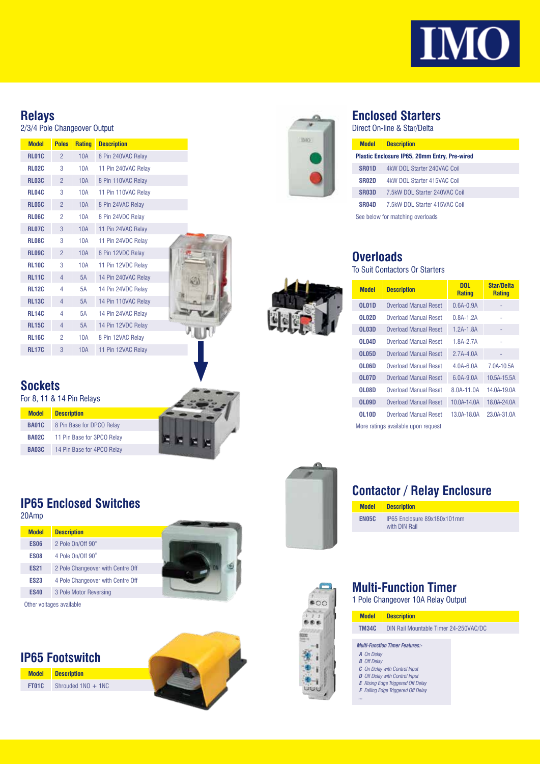

# **Relays**

### 2/3/4 Pole Changeover Output

| <b>Model</b> | <b>Poles</b>   | <b>Rating</b> | <b>Description</b>  |  |
|--------------|----------------|---------------|---------------------|--|
| <b>RL01C</b> | $\overline{2}$ | 10A           | 8 Pin 240VAC Relay  |  |
| <b>RL02C</b> | 3              | 10A           | 11 Pin 240VAC Relay |  |
| <b>RL03C</b> | $\overline{2}$ | <b>10A</b>    | 8 Pin 110VAC Relay  |  |
| <b>RL04C</b> | 3              | 10A           | 11 Pin 110VAC Relay |  |
| <b>RL05C</b> | $\overline{2}$ | 10A           | 8 Pin 24VAC Relay   |  |
| <b>RL06C</b> | $\overline{2}$ | 10A           | 8 Pin 24VDC Relay   |  |
| <b>RL07C</b> | 3              | <b>10A</b>    | 11 Pin 24VAC Relay  |  |
| <b>RL08C</b> | 3              | 10A           | 11 Pin 24VDC Relay  |  |
| <b>RL09C</b> | $\overline{2}$ | 10A           | 8 Pin 12VDC Relay   |  |
| <b>RL10C</b> | 3              | 10A           | 11 Pin 12VDC Relay  |  |
| <b>RL11C</b> | $\overline{4}$ | 5A            | 14 Pin 240VAC Relay |  |
| <b>RL12C</b> | 4              | 5A            | 14 Pin 24VDC Relay  |  |
| <b>RL13C</b> | $\overline{4}$ | 5A            | 14 Pin 110VAC Relay |  |
| <b>RL14C</b> | 4              | 5A            | 14 Pin 24VAC Relay  |  |
| <b>RL15C</b> | $\overline{4}$ | 5A            | 14 Pin 12VDC Relay  |  |
| <b>RL16C</b> | $\overline{2}$ | 10A           | 8 Pin 12VAC Relay   |  |
| <b>RL17C</b> | 3              | 10A           | 11 Pin 12VAC Relay  |  |
|              |                |               |                     |  |

### **Sockets**

20Amp

For 8, 11 & 14 Pin Relays

| <b>Model</b> | <b>Description</b>         |
|--------------|----------------------------|
| <b>BA01C</b> | 8 Pin Base for DPCO Relay  |
| <b>BA02C</b> | 11 Pin Base for 3PCO Relay |
| <b>BA03C</b> | 14 Pin Base for 4PCO Relay |

**IP65 Enclosed Switches**



### **Enclosed Starters**

Direct On-line & Star/Delta

| <b>Model</b>       | <b>Description</b>                                   |
|--------------------|------------------------------------------------------|
|                    | <b>Plastic Enclosure IP65, 20mm Entry, Pre-wired</b> |
| SR <sub>01</sub> D | 4kW DOL Starter 240VAC Coil                          |
| SR <sub>02</sub> D | 4kW DOL Starter 415VAC Coil                          |
| SR03D              | 7.5kW DOL Starter 240VAC Coil                        |
| SR <sub>04</sub> D | 7.5kW DOL Starter 415VAC Coil                        |
|                    | See below for matching overloads                     |

**Overloads**

To Suit Contactors Or Starters

| <b>Model</b> | <b>Description</b>                  | <b>DOL</b><br><b>Rating</b> | <b>Star/Delta</b><br><b>Rating</b> |
|--------------|-------------------------------------|-----------------------------|------------------------------------|
| <b>OL01D</b> | <b>Overload Manual Reset</b>        | 0.6A-0.9A                   |                                    |
| <b>OL02D</b> | Overload Manual Reset               | 0.8A-1.2A                   |                                    |
| <b>OL03D</b> | Overload Manual Reset               | 1.2A-1.8A                   |                                    |
| <b>OL04D</b> | Overload Manual Reset               | 1.8A-2.7A                   |                                    |
| <b>OL05D</b> | <b>Overload Manual Reset</b>        | $2.7A - 4.0A$               |                                    |
| 01.06D       | Overload Manual Reset               | 4 0A-6 0A                   | 7.0A-10.5A                         |
| <b>OL07D</b> | <b>Overload Manual Reset</b>        | 6.0A-9.0A                   | 10.5A-15.5A                        |
| OL08D        | <b>Overload Manual Reset</b>        | 8.0A-11.0A                  | 14 0A-19 0A                        |
| <b>OL09D</b> | <b>Overload Manual Reset</b>        | 10 0A-14 0A                 | 18.0A-24.0A                        |
| <b>OL10D</b> | Overload Manual Reset               | 13.0A-18.0A                 | 23.0A-31.0A                        |
|              | More ratings available upon request |                             |                                    |



### **Contactor / Relay Enclosure**

**Model Description EN05C** IP65 Enclosure 89x180x101mm with DIN Rail



Other voltages available





**Model Description FT01C** Shrouded 1NO + 1NC





*...*



1 Pole Changeover 10A Relay Output

| <b>Model</b>       | <b>Description</b>                        |
|--------------------|-------------------------------------------|
| <b>TM34C</b>       | DIN Rail Mountable Timer 24-250VAC/DC     |
|                    | <b>Multi-Function Timer Features:-</b>    |
| A On Delay         |                                           |
| <b>B</b> Off Delay |                                           |
|                    | <b>C</b> On Delay with Control Input      |
|                    | D Off Delay with Control Input            |
|                    | <b>E</b> Rising Edge Triggered Off Delay  |
|                    | <b>F</b> Falling Edge Triggered Off Delay |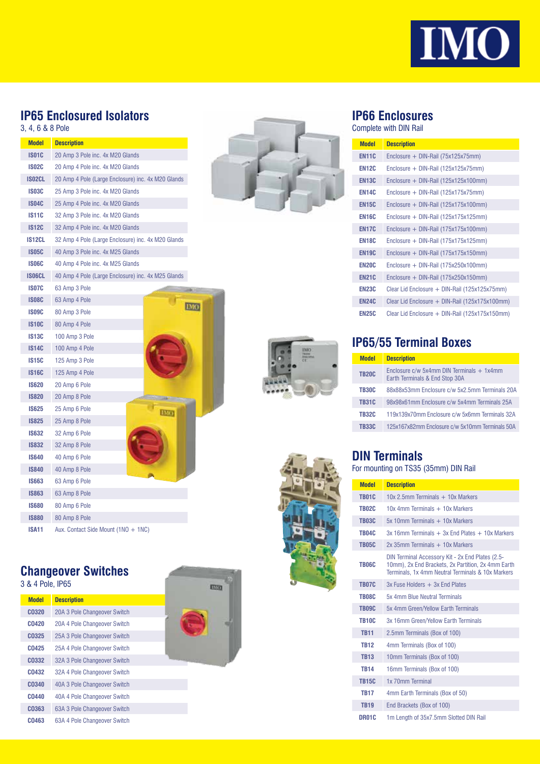

# **IP65 Enclosured Isolators**

3, 4, 6 & 8 Pole

| <b>Model</b>  | <b>Description</b>                                 |
|---------------|----------------------------------------------------|
| <b>IS01C</b>  | 20 Amp 3 Pole inc. 4x M20 Glands                   |
| <b>IS02C</b>  | 20 Amp 4 Pole inc. 4x M20 Glands                   |
| <b>ISO2CL</b> | 20 Amp 4 Pole (Large Enclosure) inc. 4x M20 Glands |
| <b>IS03C</b>  | 25 Amp 3 Pole inc. 4x M20 Glands                   |
| <b>IS04C</b>  | 25 Amp 4 Pole inc. 4x M20 Glands                   |
| <b>IS11C</b>  | 32 Amp 3 Pole inc. 4x M20 Glands                   |
| <b>IS12C</b>  | 32 Amp 4 Pole inc. 4x M20 Glands                   |
| IS12CL        | 32 Amp 4 Pole (Large Enclosure) inc. 4x M20 Glands |
| <b>IS05C</b>  | 40 Amp 3 Pole inc. 4x M25 Glands                   |
| <b>IS06C</b>  | 40 Amp 4 Pole inc. 4x M25 Glands                   |
| IS06CL        | 40 Amp 4 Pole (Large Enclosure) inc. 4x M25 Glands |
| <b>IS07C</b>  | 63 Amp 3 Pole                                      |
| <b>IS08C</b>  | 63 Amp 4 Pole                                      |
| <b>IS09C</b>  | <b>IMO</b><br>80 Amp 3 Pole                        |
| <b>IS10C</b>  | 80 Amp 4 Pole                                      |
| <b>IS13C</b>  | 100 Amp 3 Pole                                     |
| <b>IS14C</b>  | 100 Amp 4 Pole                                     |
| <b>IS15C</b>  | 125 Amp 3 Pole                                     |
| <b>IS16C</b>  | 125 Amp 4 Pole                                     |
| <b>IS620</b>  | 20 Amp 6 Pole                                      |
| <b>IS820</b>  | 20 Amp 8 Pole                                      |
| <b>IS625</b>  | 25 Amp 6 Pole<br>ню                                |
| <b>IS825</b>  | 25 Amp 8 Pole                                      |
| <b>IS632</b>  | 32 Amp 6 Pole                                      |
| <b>IS832</b>  | 32 Amp 8 Pole                                      |
| <b>IS640</b>  | 40 Amp 6 Pole                                      |
| <b>IS840</b>  | 40 Amp 8 Pole                                      |
| <b>IS663</b>  | 63 Amp 6 Pole                                      |
| <b>IS863</b>  | 63 Amp 8 Pole                                      |
| <b>IS680</b>  | 80 Amp 6 Pole                                      |
| <b>IS880</b>  | 80 Amp 8 Pole                                      |
| <b>ISA11</b>  | Aux. Contact Side Mount (1NO + 1NC)                |
|               |                                                    |

## **Changeover Switches**

|  |  |  |  |  | 3 & 4 Pole, IP65 |  |
|--|--|--|--|--|------------------|--|
|--|--|--|--|--|------------------|--|

| 0 0 1 1 0 10 1 11 0 0 |                              | <b>Links</b> |
|-----------------------|------------------------------|--------------|
| <b>Model</b>          | <b>Description</b>           |              |
| <b>CO320</b>          | 20A 3 Pole Changeover Switch |              |
| <b>CO420</b>          | 20A 4 Pole Changeover Switch |              |
| <b>CO325</b>          | 25A 3 Pole Changeover Switch |              |
| C0425                 | 25A 4 Pole Changeover Switch |              |
| C <sub>0332</sub>     | 32A 3 Pole Changeover Switch |              |
| C0432                 | 32A 4 Pole Changeover Switch |              |
| C0340                 | 40A 3 Pole Changeover Switch |              |
| <b>CO440</b>          | 40A 4 Pole Changeover Switch |              |
| C <sub>0363</sub>     | 63A 3 Pole Changeover Switch |              |
| C0463                 | 63A 4 Pole Changeover Switch |              |







## **IP66 Enclosures**

Complete with DIN Rail

| <b>Model</b> | <b>Description</b>                               |
|--------------|--------------------------------------------------|
| <b>EN11C</b> | Enclosure + DIN-Rail (75x125x75mm)               |
| <b>EN12C</b> | Enclosure + $DIN-Rail$ (125x125x75mm)            |
| <b>EN13C</b> | Enclosure + $DIN-Rail$ (125x125x100mm)           |
| <b>EN14C</b> | Enclosure + $DIN-Rail$ (125x175x75mm)            |
| <b>EN15C</b> | Enclosure + $DIN-Rail$ (125x175x100mm)           |
| <b>EN16C</b> | Enclosure + $DIN-Rail$ (125x175x125mm)           |
| <b>EN17C</b> | Enclosure + $DIN-Rail$ (175x175x100mm)           |
| <b>EN18C</b> | Enclosure + $DIN-Rail$ (175x175x125mm)           |
| <b>EN19C</b> | Enclosure + $DIN-Rail$ (175x175x150mm)           |
| <b>EN20C</b> | Enclosure + $DIN-Rail$ (175x250x100mm)           |
| <b>EN21C</b> | Enclosure + $DIN-Rail$ (175x250x150mm)           |
| <b>EN23C</b> | Clear Lid Enclosure + DIN-Rail (125x125x75mm)    |
| <b>EN24C</b> | Clear Lid Enclosure $+$ DIN-Rail (125x175x100mm) |
| <b>EN25C</b> | Clear Lid Enclosure $+$ DIN-Rail (125x175x150mm) |

## **IP65/55 Terminal Boxes**

| <b>Model</b> | <b>Description</b>                                                              |
|--------------|---------------------------------------------------------------------------------|
| <b>TR20C</b> | Enclosure $c/w$ 5x4mm DIN Terminals $+$ 1x4mm<br>Earth Terminals & End Stop 30A |
| <b>TR30C</b> | 88x88x53mm Enclosure c/w 5x2.5mm Terminals 20A                                  |
| <b>TB31C</b> | 98x98x61mm Enclosure c/w 5x4mm Terminals 25A                                    |
| <b>TR32C</b> | 119x139x70mm Enclosure c/w 5x6mm Terminals 32A                                  |
| <b>TR33C</b> | 125x167x82mm Enclosure c/w 5x10mm Terminals 50A                                 |

## **DIN Terminals**

For mounting on TS35 (35mm) DIN Rail

| <b>Model</b> | <b>Description</b>                                                                                                                                          |
|--------------|-------------------------------------------------------------------------------------------------------------------------------------------------------------|
| <b>TR01C</b> | $10x$ 2 5mm Terminals $+10x$ Markers                                                                                                                        |
| <b>TR02C</b> | $10x$ 4mm Terminals $+10x$ Markers                                                                                                                          |
| <b>TR03C</b> | $5x$ 10mm Terminals $+$ 10x Markers                                                                                                                         |
| <b>TR04C</b> | $3x$ 16mm Terminals + $3x$ End Plates + 10x Markers                                                                                                         |
| <b>TB05C</b> | $2x$ 35mm Terminals $+10x$ Markers                                                                                                                          |
| <b>TB06C</b> | DIN Terminal Accessory Kit - 2x End Plates (2.5-<br>10mm). 2x End Brackets. 2x Partition. 2x 4mm Earth<br>Terminals, 1x 4mm Neutral Terminals & 10x Markers |
| <b>TB07C</b> | $3x$ Fuse Holders $+3x$ Fnd Plates                                                                                                                          |
| <b>TR08C</b> | 5x 4mm Blue Neutral Terminals                                                                                                                               |
| <b>TR09C</b> | 5x 4mm Green/Yellow Earth Terminals                                                                                                                         |
| <b>TR10C</b> | 3x 16mm Green/Yellow Earth Terminals                                                                                                                        |
| <b>TR11</b>  | 2.5mm Terminals (Box of 100)                                                                                                                                |
| <b>TR12</b>  | 4mm Terminals (Box of 100)                                                                                                                                  |
| <b>TR13</b>  | 10mm Terminals (Box of 100)                                                                                                                                 |
| <b>TR14</b>  | 16mm Terminals (Box of 100)                                                                                                                                 |
| <b>TR15C</b> | 1x 70mm Terminal                                                                                                                                            |
| <b>TR17</b>  | 4mm Earth Terminals (Box of 50)                                                                                                                             |
| <b>TR19</b>  | End Brackets (Box of 100)                                                                                                                                   |
| <b>DR01C</b> | 1m Length of 35x7.5mm Slotted DIN Rail                                                                                                                      |